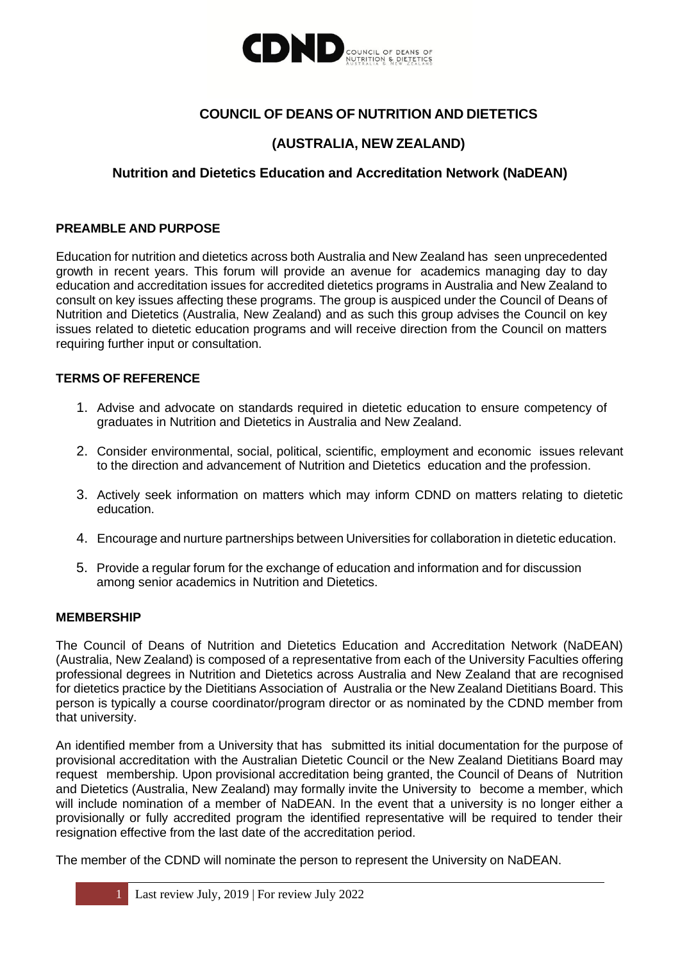

# **COUNCIL OF DEANS OF NUTRITION AND DIETETICS**

# **(AUSTRALIA, NEW ZEALAND)**

# **Nutrition and Dietetics Education and Accreditation Network (NaDEAN)**

#### **PREAMBLE AND PURPOSE**

Education for nutrition and dietetics across both Australia and New Zealand has seen unprecedented growth in recent years. This forum will provide an avenue for academics managing day to day education and accreditation issues for accredited dietetics programs in Australia and New Zealand to consult on key issues affecting these programs. The group is auspiced under the Council of Deans of Nutrition and Dietetics (Australia, New Zealand) and as such this group advises the Council on key issues related to dietetic education programs and will receive direction from the Council on matters requiring further input or consultation.

### **TERMS OF REFERENCE**

- 1. Advise and advocate on standards required in dietetic education to ensure competency of graduates in Nutrition and Dietetics in Australia and New Zealand.
- 2. Consider environmental, social, political, scientific, employment and economic issues relevant to the direction and advancement of Nutrition and Dietetics education and the profession.
- 3. Actively seek information on matters which may inform CDND on matters relating to dietetic education.
- 4. Encourage and nurture partnerships between Universities for collaboration in dietetic education.
- 5. Provide a regular forum for the exchange of education and information and for discussion among senior academics in Nutrition and Dietetics.

### **MEMBERSHIP**

The Council of Deans of Nutrition and Dietetics Education and Accreditation Network (NaDEAN) (Australia, New Zealand) is composed of a representative from each of the University Faculties offering professional degrees in Nutrition and Dietetics across Australia and New Zealand that are recognised for dietetics practice by the Dietitians Association of Australia or the New Zealand Dietitians Board. This person is typically a course coordinator/program director or as nominated by the CDND member from that university.

An identified member from a University that has submitted its initial documentation for the purpose of provisional accreditation with the Australian Dietetic Council or the New Zealand Dietitians Board may request membership. Upon provisional accreditation being granted, the Council of Deans of Nutrition and Dietetics (Australia, New Zealand) may formally invite the University to become a member, which will include nomination of a member of NaDEAN. In the event that a university is no longer either a provisionally or fully accredited program the identified representative will be required to tender their resignation effective from the last date of the accreditation period.

The member of the CDND will nominate the person to represent the University on NaDEAN.